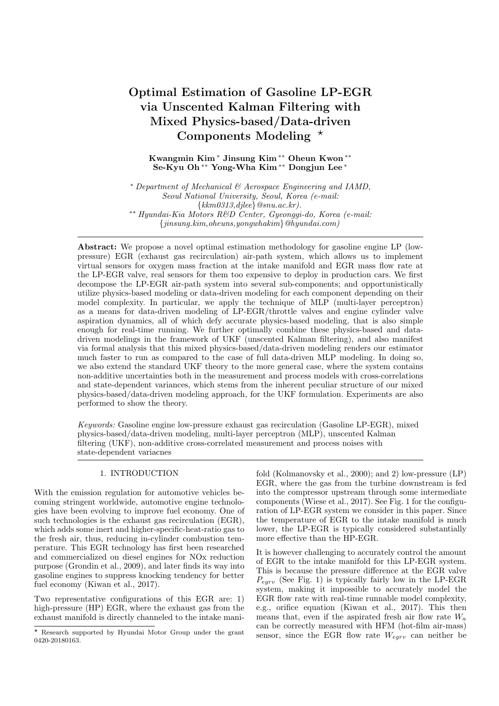# **Optimal Estimation of Gasoline LP-EGR** via Unscented Kalman Filtering with Mixed Physics-based/Data-driven Components Modeling  $*$

# Kwangmin Kim<sup>\*</sup> Jinsung Kim<sup>\*\*</sup> Oheun Kwon<sup>\*\*</sup> Se-Kyu Oh\*\* Yong-Wha Kim\*\* Dongjun Lee\*

\* Department of Mechanical & Aerospace Engineering and IAMD, Seoul National University, Seoul, Korea (e-mail:  $\{kkm0313,djlee\}$  @snu.ac.kr). \*\* Hyundai-Kia Motors R&D Center, Gyeonggi-do, Korea (e-mail:  $\{jinsung.kim, oheuns, yongwhakim\}$  @hyundai.com)

**Abstract:** We propose a novel optimal estimation methodology for gasoline engine LP (lowpressure) EGR (exhaust gas recirculation) air-path system, which allows us to implement virtual sensors for oxygen mass fraction at the intake manifold and EGR mass flow rate at the LP-EGR valve, real sensors for them too expensive to deploy in production cars. We first decompose the LP-EGR air-path system into several sub-components; and opportunistically utilize physics-based modeling or data-driven modeling for each component depending on their model complexity. In particular, we apply the technique of MLP (multi-layer perceptron) as a means for data-driven modeling of LP-EGR/throttle valves and engine cylinder valve aspiration dynamics, all of which defy accurate physics-based modeling, that is also simple enough for real-time running. We further optimally combine these physics-based and datadriven modelings in the framework of UKF (unscented Kalman filtering), and also manifest via formal analysis that this mixed physics-based/data-driven modeling renders our estimator much faster to run as compared to the case of full data-driven MLP modeling. In doing so, we also extend the standard UKF theory to the more general case, where the system contains non-additive uncertainties both in the measurement and process models with cross-correlations and state-dependent variances, which stems from the inherent peculiar structure of our mixed physics-based/data-driven modeling approach, for the UKF formulation. Experiments are also performed to show the theory.

Keywords: Gasoline engine low-pressure exhaust gas recirculation (Gasoline LP-EGR), mixed physics-based/data-driven modeling, multi-layer perceptron (MLP), unscented Kalman filtering (UKF), non-additive cross-correlated measurement and process noises with state-dependent variacnes

# 1. INTRODUCTION

With the emission regulation for automotive vehicles becoming stringent worldwide, automotive engine technologies have been evolving to improve fuel economy. One of such technologies is the exhaust gas recirculation (EGR). which adds some inert and higher-specific-heat-ratio gas to the fresh air, thus, reducing in-cylinder combustion temperature. This EGR technology has first been researched and commercialized on diesel engines for NO<sub>x</sub> reduction purpose (Grondin et al., 2009), and later finds its way into gasoline engines to suppress knocking tendency for better fuel economy (Kiwan et al., 2017).

Two representative configurations of this EGR are: 1) high-pressure (HP) EGR, where the exhaust gas from the exhaust manifold is directly channeled to the intake manifold (Kolmanovsky et al., 2000); and 2) low-pressure (LP) EGR, where the gas from the turbine downstream is fed into the compressor upstream through some intermediate components (Wiese et al., 2017). See Fig. 1 for the configuration of LP-EGR system we consider in this paper. Since the temperature of EGR to the intake manifold is much lower, the LP-EGR is typically considered substantially more effective than the HP-EGR.

It is however challenging to accurately control the amount of EGR to the intake manifold for this LP-EGR system. This is because the pressure difference at the EGR valve  $P_{egrv}$  (See Fig. 1) is typically fairly low in the LP-EGR system, making it impossible to accurately model the EGR flow rate with real-time runnable model complexity, e.g., orifice equation (Kiwan et al., 2017). This then means that, even if the aspirated fresh air flow rate  $W_a$ can be correctly measured with HFM (hot-film air-mass) sensor, since the EGR flow rate  $W_{egrv}$  can neither be

<sup>\*</sup> Research supported by Hyundai Motor Group under the grant 0420-20180163.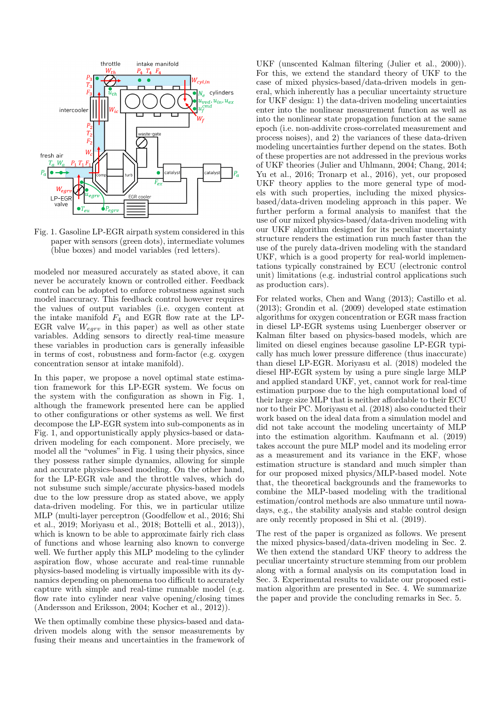

Fig. 1. Gasoline LP-EGR airpath system considered in this paper with sensors (green dots), intermediate volumes (blue boxes) and model variables (red letters).

modeled nor measured accurately as stated above, it can never be accurately known or controlled either. Feedback control can be adopted to enforce robustness against such model inaccuracy. This feedback control however requires the values of output variables (i.e. oxygen content at the intake manifold  $F_4$  and EGR flow rate at the LP-EGR valve  $W_{egrv}$  in this paper) as well as other state variables. Adding sensors to directly real-time measure these variables in production cars is generally infeasible in terms of cost, robustness and form-factor (e.g. oxygen concentration sensor at intake manifold).

In this paper, we propose a novel optimal state estimation framework for this LP-EGR system. We focus on the system with the configuration as shown in Fig. 1, although the framework presented here can be applied to other configurations or other systems as well. We first decompose the LP-EGR system into sub-components as in Fig. 1, and opportunistically apply physics-based or datadriven modeling for each component. More precisely, we model all the "volumes" in Fig. 1 using their physics, since they possess rather simple dynamics, allowing for simple and accurate physics-based modeling. On the other hand, for the LP-EGR vale and the throttle valves, which do not subsume such simple/accurate physics-based models due to the low pressure drop as stated above, we apply data-driven modeling. For this, we in particular utilize MLP (multi-layer perceptron (Goodfellow et al., 2016; Shi et al., 2019; Moriyasu et al., 2018; Bottelli et al., 2013)), which is known to be able to approximate fairly rich class of functions and whose learning also known to converge well. We further apply this MLP modeling to the cylinder aspiration flow, whose accurate and real-time runnable physics-based modeling is virtually impossible with its dynamics depending on phenomena too difficult to accurately capture with simple and real-time runnable model (e.g. flow rate into cylinder near valve opening/closing times (Andersson and Eriksson, 2004; Kocher et al., 2012)).

We then optimally combine these physics-based and datadriven models along with the sensor measurements by fusing their means and uncertainties in the framework of UKF (unscented Kalman filtering (Julier et al., 2000)). For this, we extend the standard theory of UKF to the case of mixed physics-based/data-driven models in general, which inherently has a peculiar uncertainty structure for UKF design: 1) the data-driven modeling uncertainties enter into the nonlinear measurement function as well as into the nonlinear state propagation function at the same epoch (i.e. non-addivite cross-correlated measurement and process noises), and 2) the variances of these data-driven modeling uncertainties further depend on the states. Both of these properties are not addressed in the previous works of UKF theories (Julier and Uhlmann, 2004; Chang, 2014; Yu et al., 2016; Tronarp et al., 2016), yet, our proposed UKF theory applies to the more general type of models with such properties, including the mixed physicsbased/data-driven modeling approach in this paper. We further perform a formal analysis to manifest that the use of our mixed physics-based/data-driven modeling with our UKF algorithm designed for its peculiar uncertainty structure renders the estimation run much faster than the use of the purely data-driven modeling with the standard UKF, which is a good property for real-world implementations typically constrained by ECU (electronic control unit) limitations (e.g. industrial control applications such as production cars).

For related works, Chen and Wang (2013); Castillo et al.  $(2013)$ ; Grondin et al.  $(2009)$  developed state estimation algorithms for oxygen concentration or EGR mass fraction in diesel LP-EGR systems using Luenberger observer or Kalman filter based on physics-based models, which are limited on diesel engines because gasoline LP-EGR typically has much lower pressure difference (thus inaccurate) than diesel LP-EGR. Moriyasu et al. (2018) modeled the diesel HP-EGR system by using a pure single large MLP and applied standard UKF, yet, cannot work for real-time estimation purpose due to the high computational load of their large size MLP that is neither affordable to their ECU nor to their PC. Morivasu et al. (2018) also conducted their work based on the ideal data from a simulation model and did not take account the modeling uncertainty of MLP into the estimation algorithm. Kaufmann et al. (2019) takes account the pure MLP model and its modeling error as a measurement and its variance in the EKF, whose estimation structure is standard and much simpler than for our proposed mixed physics/MLP-based model. Note that, the theoretical backgrounds and the frameworks to combine the MLP-based modeling with the traditional estimation/control methods are also unmature until nowadays, e.g., the stability analysis and stable control design are only recently proposed in Shi et al. (2019).

The rest of the paper is organized as follows. We present the mixed physics-based/data-driven modeling in Sec. 2. We then extend the standard UKF theory to address the peculiar uncertainty structure stemming from our problem along with a formal analysis on its computation load in Sec. 3. Experimental results to validate our proposed estimation algorithm are presented in Sec. 4. We summarize the paper and provide the concluding remarks in Sec. 5.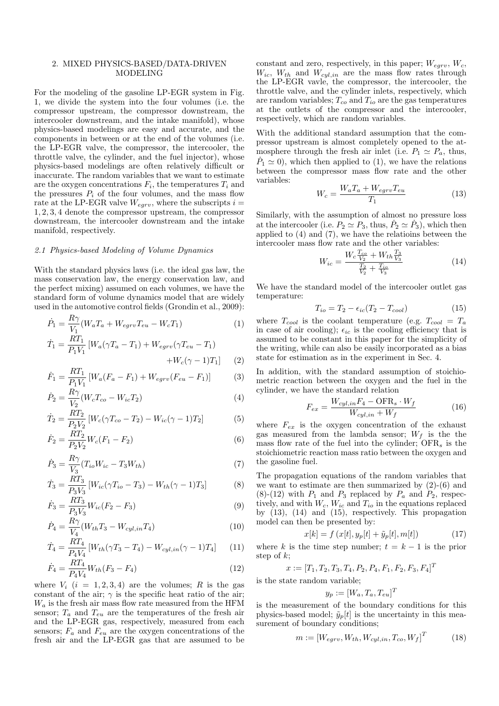### 2. MIXED PHYSICS-BASED/DATA-DRIVEN **MODELING**

For the modeling of the gasoline LP-EGR system in Fig. 1, we divide the system into the four volumes (i.e. the compressor upstream, the compressor downstream, the intercooler downstream, and the intake manifold), whose physics-based modelings are easy and accurate, and the components in between or at the end of the volumes (i.e. the LP-EGR valve, the compressor, the intercooler, the throttle valve, the cylinder, and the fuel injector), whose physics-based modelings are often relatively difficult or inaccurate. The random variables that we want to estimate are the oxygen concentrations  $F_i$ , the temperatures  $T_i$  and the pressures  $P_i$  of the four volumes, and the mass flow rate at the LP-EGR valve  $W_{egrv}$ , where the subscripts  $i =$  $1, 2, 3, 4$  denote the compressor upstream, the compressor downstream, the intercooler downstream and the intake manifold, respectively.

#### 2.1 Physics-based Modeling of Volume Dynamics

With the standard physics laws (i.e. the ideal gas law, the mass conservation law, the energy conservation law, and the perfect mixing) assumed on each volumes, we have the standard form of volume dynamics model that are widely used in the automotive control fields (Grondin et al., 2009):

$$
\dot{P}_1 = \frac{R\gamma}{V_1} (W_a T_a + W_{egrv} T_{eu} - W_c T_1)
$$
\n
$$
\dot{T}_1 = \frac{RT_1}{P_1 V_1} [W_a (\gamma T_a - T_1) + W_{egrv} (\gamma T_{eu} - T_1)
$$
\n(1)

$$
W_c(\gamma - 1)T_1] \qquad (2)
$$

$$
\dot{F}_1 = \frac{RT_1}{P_1V_1} \left[ W_a(F_a - F_1) + W_{egrv}(F_{eu} - F_1) \right] \tag{3}
$$

 $\overline{+}$ 

$$
\dot{P}_2 = \frac{R\gamma}{V_2} (W_c T_{co} - W_{ic} T_2)
$$
\n(4)

$$
\dot{T}_2 = \frac{RT_2}{P_2 V_2} \left[ W_c (\gamma T_{co} - T_2) - W_{ic} (\gamma - 1) T_2 \right] \tag{5}
$$

$$
\dot{F}_2 = \frac{RT_2}{P_2 V_2} W_c (F_1 - F_2)
$$
\n(6)

$$
\dot{P}_3 = \frac{R\gamma}{V_3} (T_{io}W_{ic} - T_3W_{th})\tag{7}
$$

$$
\dot{T}_3 = \frac{RT_3}{P_3 V_3} \left[ W_{ic} (\gamma T_{io} - T_3) - W_{th} (\gamma - 1) T_3 \right] \tag{8}
$$

$$
\dot{F}_3 = \frac{RT_3}{P_3 V_3} W_{ic} (F_2 - F_3)
$$
\n(9)

$$
\dot{P}_4 = \frac{R\gamma}{V_4} (W_{th}T_3 - W_{cyl,in}T_4)
$$
\n<sup>(10)</sup>

$$
\dot{T}_4 = \frac{RT_4}{P_4 V_4} \left[ W_{th} (\gamma T_3 - T_4) - W_{cyl, in} (\gamma - 1) T_4 \right] \tag{11}
$$

$$
\dot{F}_4 = \frac{RT_4}{P_4 V_4} W_{th}(F_3 - F_4)
$$
\n(12)

where  $V_i$   $(i = 1, 2, 3, 4)$  are the volumes; R is the gas constant of the air;  $\gamma$  is the specific heat ratio of the air;  $W_a$  is the fresh air mass flow rate measured from the HFM sensor;  $T_a$  and  $T_{eu}$  are the temperatures of the fresh air and the LP-EGR gas, respectively, measured from each sensors;  $F_a$  and  $F_{eu}$  are the oxygen concentrations of the fresh air and the LP-EGR gas that are assumed to be constant and zero, respectively, in this paper;  $W_{\text{c}}$ ,  $W_c$ ,  $W_{ic}$ ,  $W_{th}$  and  $W_{cyl,in}$  are the mass flow rates through the LP-EGR vavle, the compressor, the intercooler, the throttle valve, and the cylinder inlets, respectively, which are random variables;  $T_{co}$  and  $T_{io}$  are the gas temperatures at the outlets of the compressor and the intercooler, respectively, which are random variables.

With the additional standard assumption that the compressor upstream is almost completely opened to the atmosphere through the fresh air inlet (i.e.  $P_1 \simeq P_a$ , thus,  $\dot{P}_1 \simeq 0$ , which then applied to (1), we have the relations between the compressor mass flow rate and the other variables:

$$
W_c = \frac{W_a T_a + W_{egrv} T_{eu}}{T_1} \tag{13}
$$

Similarly, with the assumption of almost no pressure loss at the intercooler (i.e.  $P_2 \simeq P_3$ , thus,  $\dot{P}_2 \simeq \dot{P}_3$ ), which then applied to  $(4)$  and  $(7)$ , we have the relations between the intercooler mass flow rate and the other variables:

$$
W_{ic} = \frac{W_c \frac{T_{co}}{V_2} + W_{th} \frac{T_3}{V_3}}{\frac{T_2}{V_2} + \frac{T_{io}}{V_3}}
$$
(14)

We have the standard model of the intercooler outlet gas temperature:

$$
T_{io} = T_2 - \epsilon_{ic}(T_2 - T_{cool})
$$
\n
$$
(15)
$$

where  $T_{cool}$  is the coolant temperature (e.g.  $T_{cool} = T_a$ in case of air cooling);  $\epsilon_{ic}$  is the cooling efficiency that is assumed to be constant in this paper for the simplicity of the writing, while can also be easily incorporated as a bias state for estimation as in the experiment in Sec. 4.

In addition, with the standard assumption of stoichiometric reaction between the oxygen and the fuel in the cylinder, we have the standard relation

$$
F_{ex} = \frac{W_{cyl,in}F_4 - \text{OFR}_s \cdot W_f}{W_{cyl,in} + W_f} \tag{16}
$$

where  $F_{ex}$  is the oxygen concentration of the exhaust gas measured from the lambda sensor;  $W_f$  is the the mass flow rate of the fuel into the cylinder;  $OFR<sub>s</sub>$  is the stoichiometric reaction mass ratio between the oxygen and the gasoline fuel.

The propagation equations of the random variables that we want to estimate are then summarized by  $(2)-(6)$  and  $(8)-(12)$  with  $P_1$  and  $P_3$  replaced by  $P_a$  and  $P_2$ , respectively, and with  $W_c$ ,  $W_{ic}$  and  $T_{io}$  in the equations replaced by  $(13)$ ,  $(14)$  and  $(15)$ , respectively. This propagation model can then be presented by:

$$
x[k] = f(x[t], y_p[t] + \tilde{y}_p[t], m[t])
$$
\n(17)

where k is the time step number;  $t = k - 1$  is the prior step of  $k$ :

$$
x := [T_1, T_2, T_3, T_4, P_2, P_4, F_1, F_2, F_3, F_4]^T
$$

is the state random variable;

$$
y_p := [W_a, T_a, T_{eu}]^T
$$

is the measurement of the boundary conditions for this physics-based model;  $\tilde{y}_p[t]$  is the uncertainty in this measurement of boundary conditions;

$$
m := [W_{egrv}, W_{th}, W_{cyl,in}, T_{co}, W_f]^T
$$
 (18)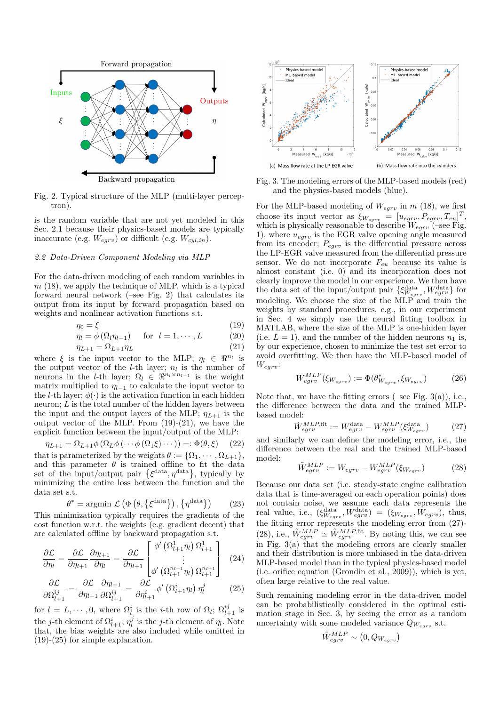

Backward propagation

Fig. 2. Typical structure of the MLP (multi-layer percep $tron)$ .

is the random variable that are not yet modeled in this Sec. 2.1 because their physics-based models are typically inaccurate (e.g.  $W_{egrv}$ ) or difficult (e.g.  $W_{cyl,in}$ ).

#### 2.2 Data-Driven Component Modeling via MLP

For the data-driven modeling of each random variables in  $m(18)$ , we apply the technique of MLP, which is a typical forward neural network  $(-\text{see Fig. 2})$  that calculates its output from its input by forward propagation based on weights and nonlinear activation functions s.t.

$$
\eta_0 = \xi \tag{19}
$$
\n
$$
\eta_0 = \xi \tag{20}
$$

$$
\eta_l = \varphi(\Omega_l \eta_{l-1}) \quad \text{for } l = 1, \cdots, L \tag{20}
$$

$$
\eta_{L+1} = \Omega_{L+1} \eta_L \tag{21}
$$

where 
$$
\xi
$$
 is the input vector to the MLP;  $\eta_l \in \mathbb{R}^{n_l}$  is  
the output vector of the *l*-th layer;  $n_l$  is the number of  
neurons in the *l*-th layer;  $\Omega_l \in \mathbb{R}^{n_l \times n_{l-1}}$  is the weight  
matrix multiplied to  $\eta_{l-1}$  to calculate the input vector to  
the *l*-th layer;  $\phi(\cdot)$  is the activation function in each hidden  
neuron; *L* is the total number of the hidden layers between  
the input and the output layers of the MLP;  $\eta_{L+1}$  is the  
output vector of the MLP. From (19)-(21), we have the  
explicit function between the input/output of the MLP:

$$
\eta_{L+1} = \Omega_{L+1} \phi \left( \Omega_L \phi \left( \cdots \phi \left( \Omega_1 \xi \right) \cdots \right) \right) =: \Phi(\theta, \xi) \tag{22}
$$

that is parameterized by the weights  $\theta := {\Omega_1, \cdots, \Omega_{L+1}},$ and this parameter  $\theta$  is trained offline to fit the data set of the input/output pair  $\{\xi^{\text{data}}, \eta^{\text{data}}\}$ , typically by minimizing the entire loss between the function and the data set s.t.

$$
\theta^* = \operatorname{argmin} \mathcal{L} \left( \Phi \left( \theta, \{ \xi^{\text{data}} \} \right), \{ \eta^{\text{data}} \} \right) \tag{23}
$$

This minimization typically requires the gradients of the cost function w.r.t. the weights (e.g. gradient decent) that are calculated offline by backward propagation s.t.

$$
\frac{\partial \mathcal{L}}{\partial \eta_l} = \frac{\partial \mathcal{L}}{\partial \eta_{l+1}} \frac{\partial \eta_{l+1}}{\partial \eta_l} = \frac{\partial \mathcal{L}}{\partial \eta_{l+1}} \begin{bmatrix} \phi' \left( \Omega_{l+1}^1 \eta_l \right) \Omega_{l+1}^1 \\ \vdots \\ \phi' \left( \Omega_{l+1}^{n_{l+1}} \eta_l \right) \Omega_{l+1}^{n_{l+1}} \end{bmatrix} \tag{24}
$$

$$
\frac{\partial \mathcal{L}}{\partial \Omega_{l+1}^{ij}} = \frac{\partial \mathcal{L}}{\partial \eta_{l+1}} \frac{\partial \eta_{l+1}}{\partial \Omega_{l+1}^{ij}} = \frac{\partial \mathcal{L}}{\partial \eta_{l+1}^i} \phi' \left( \Omega_{l+1}^i \eta_l \right) \eta_l^j \tag{25}
$$

for  $l = L, \dots, 0$ , where  $\Omega_l^i$  is the *i*-th row of  $\Omega_l$ ;  $\Omega_{l+1}^{ij}$  is the *j*-th element of  $\Omega_{l+1}^i$ ;  $\eta_l^j$  is the *j*-th element of  $\eta_l$ . Note that, the bias weights are also included while omitted in  $(19)-(25)$  for simple explanation.



Fig. 3. The modeling errors of the MLP-based models (red) and the physics-based models (blue).

For the MLP-based modeling of  $W_{egrv}$  in m (18), we first<br>choose its input vector as  $\xi_{W_{egrv}} = [u_{egrv}, P_{egrv}, T_{eu}]^T$ , which is physically reasonable to describe  $W_{egrv}$  (-see Fig. 1), where  $u_{egrv}$  is the EGR valve opening angle measured from its encoder;  $P_{\text{earv}}$  is the differential pressure across the LP-EGR valve measured from the differential pressure sensor. We do not incorporate  $F_{eu}$  because its value is almost constant (i.e. 0) and its incorporation does not clearly improve the model in our experience. We then have the data set of the input/output pair  $\{\xi_{W_{egrv}}^{\text{data}},W_{egrv}^{\text{data}}\}$  for modeling. We choose the size of the MLP and train the weights by standard procedures, e.g., in our experiment in Sec. 4 we simply use the neural fitting toolbox in MATLAB, where the size of the MLP is one-hidden layer (i.e.  $L = 1$ ), and the number of the hidden neurons  $n_1$  is, by our experience, chosen to minimize the test set error to avoid overfitting. We then have the MLP-based model of  $W_{egrv}$ 

$$
W_{egrv}^{MLP}(\xi_{W_{egrv}}) := \Phi(\theta_{W_{egrv}}^*, \xi_{W_{egrv}})
$$
 (26)

Note that, we have the fitting errors  $(-see Fig. 3(a)), i.e.,$ the difference between the data and the trained MLPbased model:

$$
\tilde{W}_{egrv}^{MLP, \text{fit}} := W_{egrv}^{\text{data}} - W_{egrv}^{MLP}(\xi_{W_{egrv}}^{\text{data}})
$$
\n(27)

and similarly we can define the modeling error, i.e., the difference between the real and the trained MLP-based model:

$$
\tilde{W}_{egrv}^{MLP} := W_{egrv} - W_{egrv}^{MLP}(\xi_{W_{egrv}})
$$
\n(28)

Because our data set (i.e. steady-state engine calibration data that is time-averaged on each operation points) does not contain noise, we assume each data represents the real value, i.e.,  $(\xi_{W_{egrv}}^{\text{data}}, W_{egrv}^{\text{data}}) = (\xi_{W_{egrv}}, W_{egrv}),$  thus, the fitting error represents the modeling error from (27)-(28), i.e.,  $\tilde{W}^{MLP}_{egrv} \simeq \tilde{W}^{MLP,fit}_{egrv}$ . By noting this, we can see in Fig.  $3(a)$  that the modeling errors are clearly smaller and their distribution is more unbiased in the data-driven MLP-based model than in the typical physics-based model (i.e. orifice equation (Grondin et al., 2009)), which is yet, often large relative to the real value.

Such remaining modeling error in the data-driven model can be probabilistically considered in the optimal estimation stage in Sec. 3, by seeing the error as a random uncertainty with some modeled variance  $Q_{W_{c,av}}$  s.t.

$$
\tilde{W}^{MLP}_{egrv}\sim \left(0,Q_{W_{egrv}}\right)
$$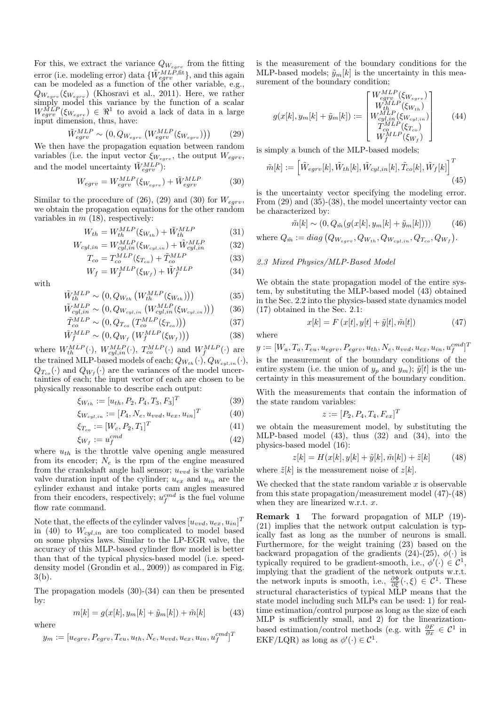For this, we extract the variance  $Q_{W_{\text{e}arv}}$  from the fitting error (i.e. modeling error) data  $\{\tilde{W}_{egrv}^{MLP,\text{fit}}\}$ , and this again can be modeled as a function of the other variable, e.g.,  $Q_{W_{egrv}}(\xi_{W_{egrv}})$  (Khosravi et al., 2011). Here, we rather simply model this variance by the function of a scalar  $W_{egrv}^{MLP}(\xi_{W_{egrv}}) \in \mathbb{R}^1$  to avoid a lack of data in a large input dimension, thus, have:

$$
\tilde{W}_{egrv}^{MLP} \sim \left(0, Q_{W_{egrv}} \left(W_{egrv}^{MLP}(\xi_{W_{egrv}})\right)\right) \tag{29}
$$

We then have the propagation equation between random variables (i.e. the input vector  $\xi_{W_{eqrv}}$ , the output  $W_{egrv}$ , and the model uncertainty  $\tilde{W}^{MLP}_{eqrv}$ :

$$
W_{egrv} = W_{egrv}^{MLP}(\xi_{W_{egrv}}) + \tilde{W}_{egrv}^{MLP}
$$
 (30)

Similar to the procedure of (26), (29) and (30) for  $W_{\text{egrv}}$ , we obtain the propagation equations for the other random variables in  $m(18)$ , respectively:

$$
W_{th} = W_{th}^{MLP}(\xi_{W_{th}}) + \tilde{W}_{th}^{MLP}
$$
\n(31)

$$
W_{cyl,in} = W_{cyl,in}^{MLP}(\xi_{W_{cyl,in}}) + \tilde{W}_{cyl,in}^{MLP}
$$
 (32)

$$
T_{co} = T_{co}^{MLP}(\xi_{T_{co}}) + \tilde{T}_{co}^{MLP}
$$
\n(33)

$$
W_f = W_f^{MLP}(\xi_{W_f}) + \tilde{W}_f^{MLP} \tag{34}
$$

with

$$
\tilde{W}_{th}^{MLP} \sim \left(0, Q_{W_{th}}\left(W_{th}^{MLP}(\xi_{W_{th}})\right)\right) \tag{35}
$$

$$
W_{cyl,in}^{MLP} \sim (0, Q_{W_{cyl,in}} \left( W_{cyl,in}^{MLP} (\xi_{W_{cyl,in}}) \right))
$$
 (36)

$$
T_{co}^{mLT} \sim (0, Q_{T_{co}} \left( T_{co}^{mLT} \left( \xi_{T_{co}} \right) \right)) \tag{37}
$$
  
\n
$$
\tilde{W}_{co}^{MLP} \quad (0, Q_{m} \left( W_{co}^{MLE} \left( \xi_{T_{co}} \right) \right)) \tag{38}
$$

$$
W_f^{MLP} \sim (0, Q_{W_f} \left( W_f^{MLP} \left( \xi_{W_f} \right) \right)) \tag{38}
$$
  
e  $W_{th}^{MLP}(\cdot)$ ,  $W_{cyl,in}^{MLP}(\cdot)$ ,  $T_{co}^{MLP}(\cdot)$  and  $W_f^{MLP}(\cdot)$  are

wher the trained MLP-based models of each;  $Q_{W_{th}}(\cdot), Q_{W_{cyl,in}}(\cdot),$  $Q_{T_{co}}(\cdot)$  and  $Q_{W_f}(\cdot)$  are the variances of the model uncertainties of each; the input vector of each are chosen to be physically reasonable to describe each output:

$$
\xi_{W_{th}} := [u_{th}, P_2, P_4, T_3, F_3]^T
$$
\n(39)

$$
\xi_{W_{cyl,in}} := [P_4, N_e, u_{vvd}, u_{ex}, u_{in}]^T
$$
 (40)

$$
\xi_{T_{co}} := [W_c, P_2, T_1]^T \tag{41}
$$

$$
\xi_{W_f} := u_f^{cmd} \tag{42}
$$

where  $u_{th}$  is the throttle valve opening angle measured from its encoder;  $N_e$  is the rpm of the engine measured from the crankshaft angle hall sensor;  $u_{vvd}$  is the variable valve duration input of the cylinder;  $u_{ex}$  and  $u_{in}$  are the cylinder exhaust and intake ports cam angles measured from their encoders, respectively;  $u_f^{cmd}$  is the fuel volume flow rate command.

Note that, the effects of the cylinder valves  $[u_{vvd}, u_{ex}, u_{in}]^T$ in (40) to  $W_{cyl,in}$  are too complicated to model based on some physics laws. Similar to the LP-EGR valve, the accuracy of this MLP-based cylinder flow model is better than that of the typical physics-based model (i.e. speeddensity model (Grondin et al., 2009)) as compared in Fig.  $3(b)$ .

The propagation models  $(30)-(34)$  can then be presented  $by:$ 

$$
n[k] = g(x[k], y_m[k] + \tilde{y}_m[k]) + \tilde{m}[k] \tag{43}
$$

where

 $\overline{1}$ 

$$
y_m := [u_{egrv}, P_{egrv}, T_{eu}, u_{th}, N_e, u_{vvd}, u_{ex}, u_{in}, u_f^{cmd}]^T
$$

is the measurement of the boundary conditions for the MLP-based models;  $\tilde{y}_m[k]$  is the uncertainty in this measurement of the boundary condition;

$$
g(x[k], y_m[k] + \tilde{y}_m[k]) := \begin{bmatrix} W_{egrv}^{MLP}(\xi_{W_{egrv}}) \\ W_{th}^{MLP}(\xi_{W_{th}}) \\ W_{cyl,in}^{MLP}(\xi_{W_{cyl,in}}) \\ T_{co}^{MLP}(\xi_{T_{co}}) \\ W_{f}^{MLP}(\xi_{W_{f}}) \end{bmatrix}
$$
(44)

 $\lambda$ 

is simply a bunch of the MLP-based models;

$$
\tilde{m}[k] := \left[ \tilde{W}_{egrv}[k], \tilde{W}_{th}[k], \tilde{W}_{cyl,in}[k], \tilde{T}_{co}[k], \tilde{W}_f[k] \right]^T
$$
\n(45)

is the uncertainty vector specifying the modeling error. From  $(29)$  and  $(35)-(38)$ , the model uncertainty vector can be characterized by:

$$
\tilde{m}[k] \sim (0, Q_{\tilde{m}}(g(x[k], y_m[k] + \tilde{y}_m[k])))
$$
(46)

where  $Q_{\tilde{m}} := diag(Q_{W_{earv}}, Q_{W_{th}}, Q_{W_{cyl,in}}, Q_{T_{co}}, Q_{W_f}).$ 

# 2.3 Mixed Physics/MLP-Based Model

We obtain the state propagation model of the entire system, by substituting the MLP-based model (43) obtained in the Sec. 2.2 into the physics-based state dynamics model  $(17)$  obtained in the Sec. 2.1:

$$
x[k] = F(x[t], y[t] + \tilde{y}[t], \tilde{m}[t])
$$
\n(47)

where

$$
y := [W_a, T_a, T_{eu}, u_{egrv}, P_{egrv}, u_{th}, N_e, u_{vvd}, u_{ex}, u_{in}, u_f^{cmd}]^T
$$
  
is the measurement of the boundary conditions of the  
entire system (i.e. the union of  $y_p$  and  $y_m$ );  $\tilde{y}[t]$  is the un-  
certainty in this measurement of the boundary condition.

With the measurements that contain the information of the state random variables:

$$
z := [P_2, P_4, T_4, F_{ex}]^T
$$

we obtain the measurement model, by substituting the MLP-based model  $(43)$ , thus  $(32)$  and  $(34)$ , into the physics-based model (16):

$$
z[k] = H(x[k], y[k] + \tilde{y}[k], \tilde{m}[k]) + \tilde{z}[k] \tag{48}
$$

where  $\tilde{z}[k]$  is the measurement noise of  $z[k]$ .

We checked that the state random variable  $x$  is observable from this state propagation/measurement model  $(47)$ - $(48)$ when they are linearized w.r.t.  $x$ .

The forward propagation of MLP (19)-Remark 1  $(21)$  implies that the network output calculation is typically fast as long as the number of neurons is small. Furthermore, for the weight training (23) based on the backward propagation of the gradients (24)-(25),  $\phi(\cdot)$  is typically required to be gradient-smooth, i.e.,  $\phi'(\cdot) \in C^1$ , implying that the gradient of the network outputs w.r.t. the network inputs is smooth, i.e.,  $\frac{\partial \Phi}{\partial \xi}(\cdot,\xi) \in C^1$ . These structural characteristics of typical MLP means that the state model including such MLPs can be used: 1) for realtime estimation/control purpose as long as the size of each MLP is sufficiently small, and 2) for the linearizationbased estimation/control methods (e.g. with  $\frac{\partial F}{\partial x} \in C^1$  in EKF/LQR) as long as  $\phi'(\cdot) \in C^1$ .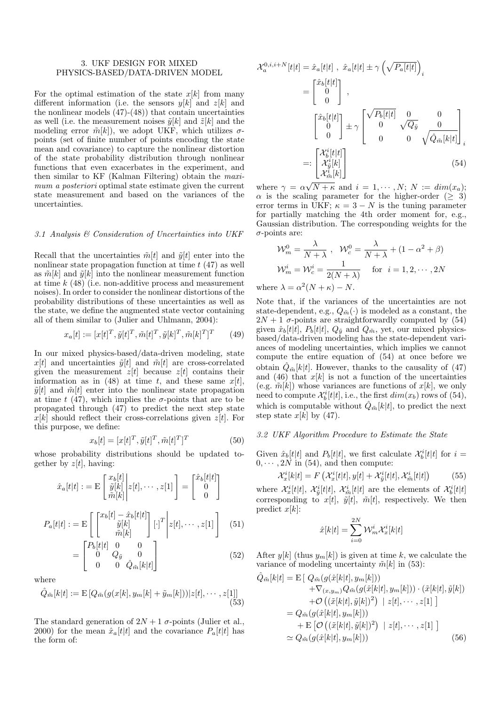### 3. UKF DESIGN FOR MIXED PHYSICS-BASED/DATA-DRIVEN MODEL

For the optimal estimation of the state  $x[k]$  from many different information (i.e. the sensors  $y[k]$  and  $z[k]$  and the nonlinear models  $(47)-(48)$  that contain uncertainties as well (i.e. the measurement noises  $\tilde{y}[k]$  and  $\tilde{z}[k]$  and the modeling error  $\tilde{m}[k]$ , we adopt UKF, which utilizes  $\sigma$ points (set of finite number of points encoding the state mean and covariance) to capture the nonlinear distortion of the state probability distribution through nonlinear functions that even exacerbates in the experiment, and then similar to KF (Kalman Filtering) obtain the *maxi*mum a posteriori optimal state estimate given the current state measurement and based on the variances of the uncertainties.

## 3.1 Analysis  $\mathcal C$  Consideration of Uncertainties into UKF

Recall that the uncertainties  $\tilde{m}[t]$  and  $\tilde{y}[t]$  enter into the nonlinear state propagation function at time  $t(47)$  as well as  $\tilde{m}[k]$  and  $\tilde{y}[k]$  into the nonlinear measurement function at time  $k(48)$  (i.e. non-additive process and measurement noises). In order to consider the nonlinear distortions of the probability distributions of these uncertainties as well as the state, we define the augmented state vector containing all of them similar to (Julier and Uhlmann, 2004):

$$
x_a[t] := [x[t]^T, \tilde{y}[t]^T, \tilde{m}[t]^T, \tilde{y}[k]^T, \tilde{m}[k]^T]^T \qquad (49)
$$

In our mixed physics-based/data-driven modeling, state  $x[t]$  and uncertainties  $\tilde{y}[t]$  and  $\tilde{m}[t]$  are cross-correlated given the measurement  $z[t]$  because  $z[t]$  contains their information as in (48) at time t, and these same  $x[t]$ ,  $\tilde{y}[t]$  and  $\tilde{m}[t]$  enter into the nonlinear state propagation at time t (47), which implies the  $\sigma$ -points that are to be propagated through (47) to predict the next step state  $x[k]$  should reflect their cross-correlations given  $z[t]$ . For this purpose, we define:

$$
x_b[t] = [x[t]^T, \tilde{y}[t]^T, \tilde{m}[t]^T]^T
$$
\n(50)

whose probability distributions should be updated together by  $z[t]$ , having:

$$
\hat{x}_a[t|t] := \mathcal{E}\begin{bmatrix} x_b[t] \\ \tilde{y}[k] \\ \tilde{m}[k] \end{bmatrix} z[t], \cdots, z[1] = \begin{bmatrix} \hat{x}_b[t|t] \\ 0 \\ 0 \end{bmatrix}
$$

$$
P_a[t|t] := \mathcal{E}\begin{bmatrix} \begin{bmatrix} x_b[t] - \hat{x}_b[t|t] \\ \tilde{y}[k] \\ \tilde{m}[k] \end{bmatrix} [\cdot]^T \begin{bmatrix} z[t], \cdots, z[1] \\ z[t], \cdots, z[1] \end{bmatrix} \quad (51)
$$

$$
= \begin{bmatrix} P_b[t|t] & 0 & 0 \\ 0 & Q_{\tilde{y}} & 0 \\ 0 & 0 & Q_{\tilde{m}}[k|t] \end{bmatrix} \quad (52)
$$

where

$$
\hat{Q}_{\tilde{m}}[k|t] := \mathcal{E}\left[Q_{\tilde{m}}(g(x[k], y_m[k] + \tilde{y}_m[k]))|z[t], \cdots, z[1]\right]
$$
\n(53)

The standard generation of  $2N + 1$   $\sigma$ -points (Julier et al., 2000) for the mean  $\hat{x}_a[t|t]$  and the covariance  $P_a[t|t]$  has the form of:

$$
\mathcal{X}_a^{0,i,i+N}[t|t] = \hat{x}_a[t|t], \ \hat{x}_a[t|t] \pm \gamma \left(\sqrt{P_a[t|t]}\right)_i
$$
\n
$$
= \begin{bmatrix} \hat{x}_b[t|t] \\ 0 \\ 0 \end{bmatrix},
$$
\n
$$
\begin{bmatrix} \hat{x}_b[t|t] \\ 0 \\ 0 \end{bmatrix} \pm \gamma \begin{bmatrix} \sqrt{P_b[t|t]} & 0 & 0 \\ 0 & \sqrt{Q_{\tilde{y}} } & 0 \\ 0 & 0 & \sqrt{Q_{\tilde{m}}[k|t]} \end{bmatrix}_i
$$
\n
$$
=: \begin{bmatrix} \mathcal{X}_b^i[t|t] \\ \mathcal{X}_b^i[k] \\ \mathcal{X}_m^i[k] \end{bmatrix} (54)
$$

where  $\gamma = \alpha \sqrt{N + \kappa}$  and  $i = 1, \dots, N$ ;  $N := dim(x_a)$ ;  $\alpha$  is the scaling parameter for the higher-order ( $\geq 3$ ) error terms in UKF;  $\kappa = 3 - N$  is the tuning parameter for partially matching the 4th order moment for, e.g., Gaussian distribution. The corresponding weights for the  $\sigma$ -points are:

$$
\mathcal{W}_m^0 = \frac{\lambda}{N + \lambda}, \quad \mathcal{W}_c^0 = \frac{\lambda}{N + \lambda} + (1 - \alpha^2 + \beta)
$$

$$
\mathcal{W}_m^i = \mathcal{W}_c^i = \frac{1}{2(N + \lambda)} \quad \text{for } i = 1, 2, \cdots, 2N
$$

where  $\lambda = \alpha^2 (N + \kappa) - N$ .

Note that, if the variances of the uncertainties are not state-dependent, e.g.,  $Q_{\tilde{m}}(\cdot)$  is modeled as a constant, the  $2N + 1$   $\sigma$ -points are straightforwardly computed by (54) given  $\hat{x}_b[t|t]$ ,  $P_b[t|t]$ ,  $Q_{\tilde{y}}$  and  $Q_{\tilde{m}}$ , yet, our mixed physicsbased/data-driven modeling has the state-dependent variances of modeling uncertainties, which implies we cannot compute the entire equation of  $(54)$  at once before we obtain  $\hat{Q}_{\tilde{m}}[k|t]$ . However, thanks to the causality of (47) and (46) that  $x[k]$  is not a function of the uncertainties (e.g.  $\tilde{m}[k]$ ) whose variances are functions of  $x[k]$ , we only need to compute  $\mathcal{X}_{b}^{i}[t|t]$ , i.e., the first  $dim(x_b)$  rows of (54), which is computable without  $\tilde{Q}_{\tilde{m}}[k|t]$ , to predict the next step state  $x[k]$  by (47).

## 3.2 UKF Algorithm Procedure to Estimate the State

Given  $\hat{x}_b[t|t]$  and  $P_b[t|t]$ , we first calculate  $\mathcal{X}_b^i[t|t]$  for  $i=$  $0, \cdots, 2N$  in (54), and then compute:

$$
\mathcal{X}_{x}^{i}[k|t] = F\left(\mathcal{X}_{x}^{i}[t|t], y[t] + \mathcal{X}_{\tilde{y}}^{i}[t|t], \mathcal{X}_{\tilde{m}}^{i}[t|t]\right) \tag{55}
$$

where  $\mathcal{X}_{x}^{i}[t|t], \mathcal{X}_{\tilde{y}}^{i}[t|t], \mathcal{X}_{\tilde{m}}^{i}[t|t]$  are the elements of  $\mathcal{X}_{b}^{i}[t|t]$ corresponding to  $x[t]$ ,  $\tilde{y}[t]$ ,  $\tilde{m}[t]$ , respectively. We then predict  $x[k]$ :

$$
\hat{x}[k|t] = \sum_{i=0}^{2N} \mathcal{W}_m^i \mathcal{X}_x^i[k|t]
$$

After  $y[k]$  (thus  $y_m[k]$ ) is given at time k, we calculate the variance of modeling uncertainty  $\tilde{m}[k]$  in (53):

$$
\hat{Q}_{\tilde{m}}[k|t] = \mathbf{E} [\ Q_{\tilde{m}}(g(\hat{x}[k|t], y_m[k])) \n+ \nabla_{(x,y_m)} Q_{\tilde{m}}(g(\hat{x}[k|t], y_m[k])) \cdot (\tilde{x}[k|t], \tilde{y}[k]) \n+ \mathcal{O} ((\tilde{x}[k|t], \tilde{y}[k])^2) | z[t], \cdots, z[1] ] \n= Q_{\tilde{m}}(g(\hat{x}[k|t], y_m[k])) \n+ \mathbf{E} [\mathcal{O} ((\tilde{x}[k|t], \tilde{y}[k])^2) | z[t], \cdots, z[1] ] \n\approx Q_{\tilde{m}}(g(\hat{x}[k|t], y_m[k]))
$$
\n(56)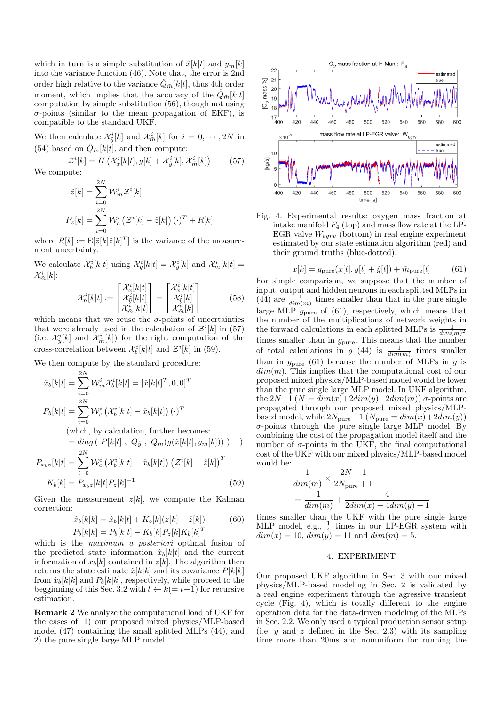which in turn is a simple substitution of  $\hat{x}[k|t]$  and  $y_m[k]$ into the variance function  $(46)$ . Note that, the error is 2nd order high relative to the variance  $Q_{\tilde{m}}[k|t]$ , thus 4th order moment, which implies that the accuracy of the  $\hat{Q}_{m}[k]$ computation by simple substitution (56), though not using  $\sigma$ -points (similar to the mean propagation of EKF), is compatible to the standard UKF.

We then calculate  $\mathcal{X}_{\tilde{v}}^i[k]$  and  $\mathcal{X}_{\tilde{m}}^i[k]$  for  $i = 0, \cdots, 2N$  in (54) based on  $\hat{Q}_{\tilde{m}}[k|t]$ , and then compute:

 $\mathcal{Z}^i[k] = H\left(\mathcal{X}^i_x[k|t], y[k] + \mathcal{X}^i_{\tilde{y}}[k], \mathcal{X}^i_{\tilde{m}}[k]\right)$  $(57)$ We compute:

$$
\hat{z}[k] = \sum_{i=0}^{2N} \mathcal{W}_m^i \mathcal{Z}^i[k]
$$

$$
P_z[k] = \sum_{i=0}^{2N} \mathcal{W}_c^i (\mathcal{Z}^i[k] - \hat{z}[k]) (\cdot)^T + R[k]
$$

where  $R[k] := \mathbb{E}[\tilde{z}[k]\tilde{z}[k]^T]$  is the variance of the measurement uncertainty.

We calculate  $\mathcal{X}_{h}^{i}[k|t]$  using  $\mathcal{X}_{\tilde{n}}^{i}[k|t] = \mathcal{X}_{\tilde{n}}^{i}[k]$  and  $\mathcal{X}_{\tilde{m}}^{i}[k|t] =$  $\mathcal{X}_{\tilde{m}}^i[k]$ :

$$
\mathcal{X}_b^i[k|t] := \begin{bmatrix} \mathcal{X}_x^i[k|t] \\ \mathcal{X}_y^i[k|t] \\ \mathcal{X}_m^i[k|t] \end{bmatrix} = \begin{bmatrix} \mathcal{X}_x^i[k|t] \\ \mathcal{X}_y^i[k] \\ \mathcal{X}_m^i[k] \end{bmatrix}
$$
(58)

which means that we reuse the  $\sigma$ -points of uncertainties that were already used in the calculation of  $\mathcal{Z}^i[k]$  in (57) (i.e.  $\mathcal{X}_{\tilde{y}}^{i}[k]$  and  $\mathcal{X}_{\tilde{m}}^{i}[k]$ ) for the right computation of the cross-correlation between  $\mathcal{X}_{h}^{i}[k|t]$  and  $\mathcal{Z}^{i}[k]$  in (59).

We then compute by the standard procedure:

$$
\hat{x}_b[k|t] = \sum_{i=0}^{2N} \mathcal{W}_m^i \mathcal{X}_b^i[k|t] = [\hat{x}[k|t]^T, 0, 0]^T
$$

$$
P_b[k|t] = \sum_{i=0}^{2N} \mathcal{W}_c^i (\mathcal{X}_b^i[k|t] - \hat{x}_b[k|t]) (\cdot)^T
$$

(which, by calculation, further becomes:

$$
= diag (P[k|t], Q_{\tilde{y}}, Q_m(g(\hat{x}[k|t], y_m[k])) )
$$
  

$$
= \sum_{i=1}^{2N} M^{i}(\mathcal{X}^{i}[t]) \quad \text{and} \quad (\mathcal{X}^{i}[t]) = \left(\sum_{i=1}^{N} M^{i}(\mathcal{X}^{i}[t])\right)
$$

$$
P_{x_b z}[k|t] = \sum_{i=0} V V_c \left( \mathcal{X}_b[k|t] - x_b[k|t] \right) \left( \mathcal{Z}^{\top}[k] - z[k] \right)
$$

$$
K_b[k] = P_{x_b z}[k|t] P_z[k]^{-1}
$$
(59)

Given the measurement  $z[k]$ , we compute the Kalman correction:

$$
\hat{x}_b[k|k] = \hat{x}_b[k|t] + K_b[k](z[k] - \hat{z}[k])
$$
\n(60)  
\n
$$
P_b[k|k] = P_b[k|t] - K_b[k]P_z[k]K_b[k]^T
$$

which is the *maximum a posteriori* optimal fusion of the predicted state information  $\hat{x}_b[k|t]$  and the current information of  $x_b[k]$  contained in  $z[k]$ . The algorithm then returns the state estimate  $\hat{x}[k|k]$  and its covariance  $P[k|k]$ from  $\hat{x}_b[k|k]$  and  $P_b[k|k]$ , respectively, while proceed to the begginning of this Sec. 3.2 with  $t \leftarrow k(= t+1)$  for recursive estimation.

**Remark 2** We analyze the computational load of UKF for the cases of: 1) our proposed mixed physics/MLP-based model (47) containing the small splitted MLPs (44), and 2) the pure single large MLP model:



Fig. 4. Experimental results: oxygen mass fraction at intake manifold  $F_4$  (top) and mass flow rate at the LP-EGR valve  $W_{\text{earv}}$  (bottom) in real engine experiment estimated by our state estimation algorithm (red) and their ground truths (blue-dotted).

$$
x[k] = g_{\text{pure}}(x[t], y[t] + \tilde{y}[t]) + \tilde{m}_{\text{pure}}[t] \tag{61}
$$

For simple comparison, we suppose that the number of input, output and hidden neurons in each splitted MLPs in (44) are  $\frac{1}{\dim(m)}$  times smaller than that in the pure single large MLP  $g_{pure}$  of (61), respectively, which means that the number of the multiplications of network weights in the forward calculations in each splitted MLPs is  $\frac{1}{\dim(m)^2}$ times smaller than in  $g_{pure}$ . This means that the number of total calculations in  $g(44)$  is  $\frac{1}{\dim(m)}$  times smaller than in  $g_{pure}$  (61) because the number of MLPs in g is  $dim(m)$ . This implies that the computational cost of our proposed mixed physics/MLP-based model would be lower than the pure single large MLP model. In UKF algorithm, the  $2N+1$   $(N = dim(x)+2dim(y)+2dim(m))$   $\sigma$ -points are propagated through our proposed mixed physics/MLPbased model, while  $2N_{pure}+1$  ( $N_{pure} = dim(x) + 2dim(y)$ )  $\sigma$ -points through the pure single large MLP model. By combining the cost of the propagation model itself and the number of  $\sigma$ -points in the UKF, the final computational cost of the UKF with our mixed physics/MLP-based model would be:

$$
\frac{1}{dim(m)} \times \frac{2N+1}{2N_{\text{pure}}+1}
$$
  
= 
$$
\frac{1}{dim(m)} + \frac{4}{2dim(x) + 4dim(y) + 1}
$$

times smaller than the UKF with the pure single large MLP model, e.g.,  $\frac{1}{4}$  times in our LP-EGR system with  $dim(x) = 10$ ,  $dim(y) = 11$  and  $dim(m) = 5$ .

## 4. EXPERIMENT

Our proposed UKF algorithm in Sec. 3 with our mixed physics/MLP-based modeling in Sec. 2 is validated by a real engine experiment through the agressive transient cycle (Fig. 4), which is totally different to the engine operation data for the data-driven modeling of the MLPs in Sec. 2.2. We only used a typical production sensor setup (i.e.  $y$  and  $z$  defined in the Sec. 2.3) with its sampling time more than 20ms and nonuniform for running the